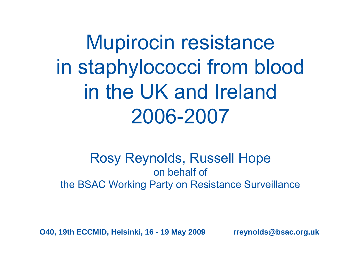Mupirocin resistance in staphylococci from blood in the UK and Ireland2006-2007

#### Rosy Reynolds, Russell Hope on behalf ofthe BSAC Working Party on Resistance Surveillance

**O40, 19th ECCMID, Helsinki, 16 - 19 May 2009 rreynolds@bsac.org.uk**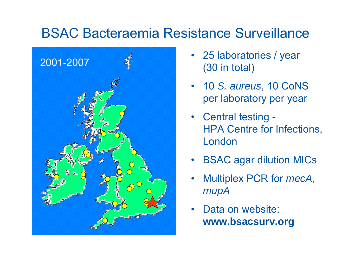# BSAC Bacteraemia Resistance Surveillance



- 25 laboratories / year (30 in total)
- 10 *S. aureus*, 10 CoNS per laboratory per year
- Central testing HPA Centre for Infections, London
- •BSAC agar dilution MICs
- • Multiplex PCR for *mecA*, *mupA*
- •Data on website: **www.bsacsurv.org**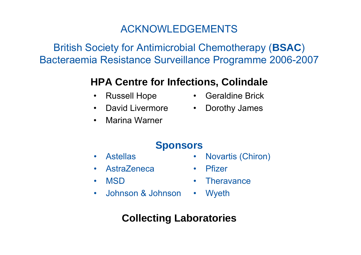#### ACKNOWLEDGEMENTS

British Society for Antimicrobial Chemotherapy (**BSAC** ) Bacteraemia Resistance Surveillance Programme 2006-2007

#### **HPA Centre for Infections, Colindale**

- $\bullet$ Russell Hope
- $\bullet$ David Livermore
- •Marina Warner
- Geraldine Brick
- •Dorothy James

#### **Sponsors**

- $\bullet$ Astellas
- •**AstraZeneca**
- $\bullet$ MSD
- $\bullet$ Johnson & Johnson
- Novartis (Chiron)
- Pfizer
- •**Theravance**
- •Wyeth

#### **Collecting Laboratories**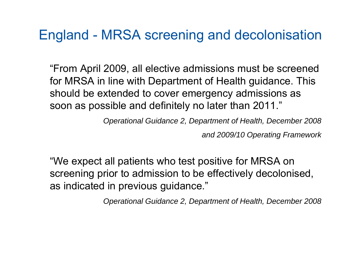# England - MRSA screening and decolonisation

"From April 2009, all elective admissions must be screened for MRSA in line with Department of Health guidance. This should be extended to cover emergency admissions as soon as possible and definitely no later than 2011."

*Operational Guidance 2, Department of Health, December 2008*

*and 2009/10 Operating Framework*

"We expect all patients who test positive for MRSA on screening prior to admission to be effectively decolonised, as indicated in previous guidance."

*Operational Guidance 2, Department of Health, December 2008*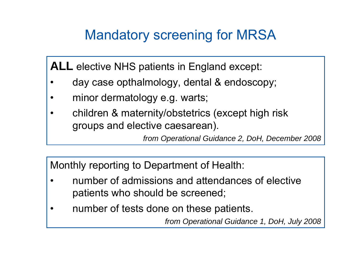# Mandatory screening for MRSA

**ALL** elective NHS patients in England except:

- •day case opthalmology, dental & endoscopy;
- •minor dermatology e.g. warts;
- • children & maternity/obstetrics (except high risk groups and elective caesarean).

*from Operational Guidance 2, DoH, December 2008*

Monthly reporting to Department of Health:

- • number of admissions and attendances of elective patients who should be screened;
- •number of tests done on these patients.

*from Operational Guidance 1, DoH, July 2008*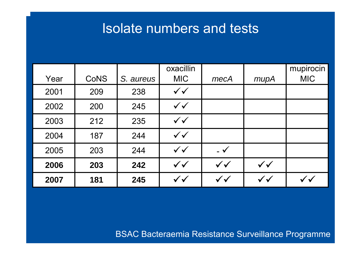## Isolate numbers and tests

|      |             |           | oxacillin    |                          |              | mupirocin  |
|------|-------------|-----------|--------------|--------------------------|--------------|------------|
| Year | <b>CoNS</b> | S. aureus | <b>MIC</b>   | mecA                     | mupA         | <b>MIC</b> |
| 2001 | 209         | 238       | $\checkmark$ |                          |              |            |
| 2002 | 200         | 245       | $\checkmark$ |                          |              |            |
| 2003 | 212         | 235       | $\checkmark$ |                          |              |            |
| 2004 | 187         | 244       | $\checkmark$ |                          |              |            |
| 2005 | 203         | 244       | $\checkmark$ | $\overline{\mathcal{A}}$ |              |            |
| 2006 | 203         | 242       | $\checkmark$ | $\checkmark$             | $\checkmark$ |            |
| 2007 | 181         | 245       | $\checkmark$ | $\checkmark$             | $\checkmark$ |            |

BSAC Bacteraemia Resistance Surveillance Programme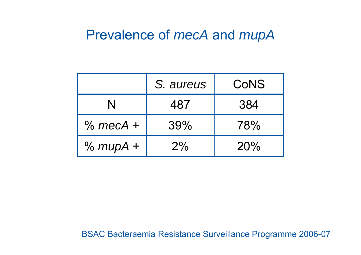## Prevalence of *mecA* and *mupA*

|            | S. aureus | CoNS |
|------------|-----------|------|
| N          | 487       | 384  |
| $%$ mecA + | 39%       | 78%  |
| $% mupA +$ | $2\%$     | 20%  |

BSAC Bacteraemia Resistance Surveillance Programme 2006-07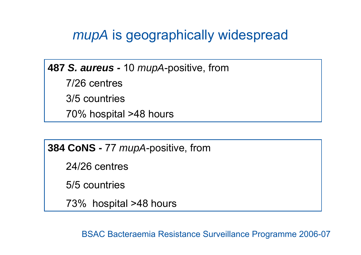# *mupA* is geographically widespread

**487** *S. aureus -* 10 *mupA*-positive, from

7/26 centres

3/5 countries

70% hospital >48 hours

**384 CoNS -** 77 *mupA*-positive, from

24/26 centres

5/5 countries

73% hospital >48 hours

BSAC Bacteraemia Resistance Surveillance Programme 2006-07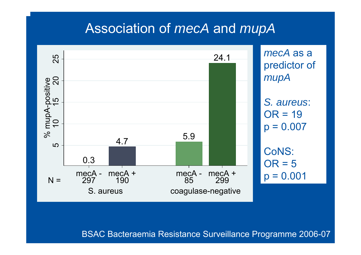### Association of *mecA* and *mupA*



BSAC Bacteraemia Resistance Surveillance Programme 2006-07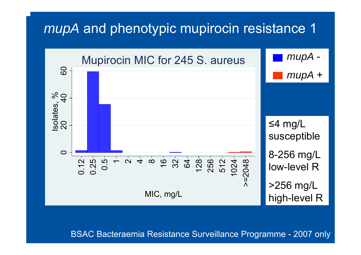## *mupA* and phenotypic mupirocin resistance 1



BSAC Bacteraemia Resistance Surveillance Programme - 2007 only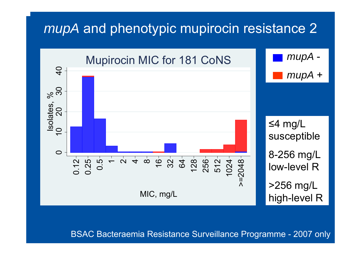## *mupA* and phenotypic mupirocin resistance 2



#### BSAC Bacteraemia Resistance Surveillance Programme - 2007 only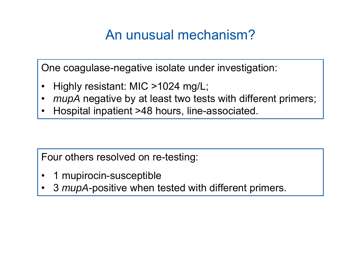# An unusual mechanism?

One coagulase-negative isolate under investigation:

- •Highly resistant: MIC >1024 mg/L;
- •*mupA* negative by at least two tests with different primers;
- •Hospital inpatient >48 hours, line-associated.

Four others resolved on re-testing:

- •1 mupirocin-susceptible
- •3 *mupA*-positive when tested with different primers.